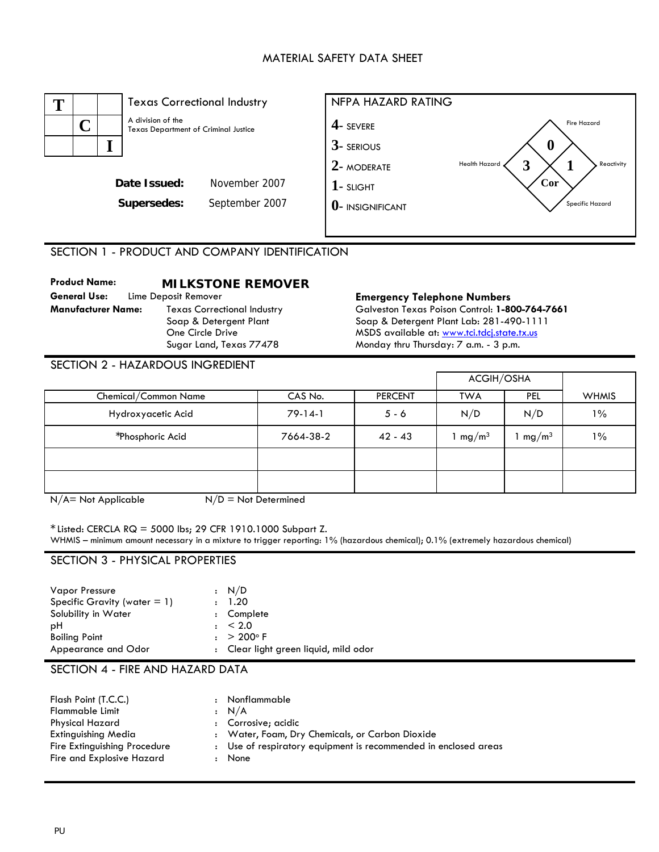## MATERIAL SAFETY DATA SHEET



SECTION 1 - PRODUCT AND COMPANY IDENTIFICATION

**Product Name: MILKSTONE REMOVER General Use:** Lime Deposit Remover **Emergency Telephone Numbers Manufacturer Name:** Texas Correctional Industry Soap & Detergent Plant One Circle Drive Sugar Land, Texas 77478

Galveston Texas Poison Control: **1-800-764-7661**  Soap & Detergent Plant Lab: 281-490-1111 MSDS available at: [www.tci.tdcj.state.tx.us](http://www.tci.tdcj.state.tx.us/) Monday thru Thursday: 7 a.m. - 3 p.m.

|                      |           |                | ACGIH/OSHA        |                   |              |
|----------------------|-----------|----------------|-------------------|-------------------|--------------|
| Chemical/Common Name | CAS No.   | <b>PERCENT</b> | <b>TWA</b>        | <b>PEL</b>        | <b>WHMIS</b> |
| Hydroxyacetic Acid   | $79-14-1$ | $5 - 6$        | N/D               | N/D               | $1\%$        |
| *Phosphoric Acid     | 7664-38-2 | $42 - 43$      | mg/m <sup>3</sup> | mg/m <sup>3</sup> | $1\%$        |
|                      |           |                |                   |                   |              |
|                      |           |                |                   |                   |              |

 $N/A$  = Not Applicable  $N/D$  = Not Determined

 $*$  Listed: CERCLA RQ = 5000 lbs; 29 CFR 1910.1000 Subpart Z.

WHMIS – minimum amount necessary in a mixture to trigger reporting: 1% (hazardous chemical); 0.1% (extremely hazardous chemical)

#### SECTION 3 - PHYSICAL PROPERTIES

| : N/D                                 |
|---------------------------------------|
| : 1.20                                |
| : Complete                            |
| $\pm$ < 2.0                           |
| $: > 200^{\circ} F$                   |
| : Clear light green liquid, mild odor |
|                                       |

## SECTION 4 - FIRE AND HAZARD DATA

| Flash Point (T.C.C.)         |              | Nonflammable                                                    |
|------------------------------|--------------|-----------------------------------------------------------------|
|                              | $\mathbf{r}$ |                                                                 |
| <b>Flammable Limit</b>       |              | : N/A                                                           |
| Physical Hazard              |              | : Corrosive; acidic                                             |
| Extinguishing Media          |              | : Water, Foam, Dry Chemicals, or Carbon Dioxide                 |
| Fire Extinguishing Procedure |              | : Use of respiratory equipment is recommended in enclosed areas |
| Fire and Explosive Hazard    |              | None                                                            |